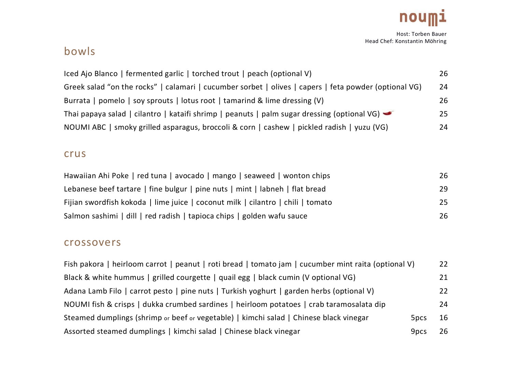

# bowls

| Iced Ajo Blanco   fermented garlic   torched trout   peach (optional V)                                           | 26 |
|-------------------------------------------------------------------------------------------------------------------|----|
| Greek salad "on the rocks"   calamari   cucumber sorbet   olives   capers   feta powder (optional VG)             | 24 |
| Burrata   pomelo   soy sprouts   lotus root   tamarind & lime dressing (V)                                        | 26 |
| Thai papaya salad   cilantro   kataifi shrimp   peanuts   palm sugar dressing (optional VG) $\blacktriangleright$ | 25 |
| NOUMI ABC   smoky grilled asparagus, broccoli & corn   cashew   pickled radish   yuzu (VG)                        | 24 |

### crus

| Hawaiian Ahi Poke   red tuna   avocado   mango   seaweed   wonton chips         | 26 |
|---------------------------------------------------------------------------------|----|
| Lebanese beef tartare   fine bulgur   pine nuts   mint   labneh   flat bread    | 29 |
| Fijian swordfish kokoda   lime juice   coconut milk   cilantro   chili   tomato | 25 |
| Salmon sashimi   dill   red radish   tapioca chips   golden wafu sauce          | 26 |

#### crossovers

| Fish pakora   heirloom carrot   peanut   roti bread   tomato jam   cucumber mint raita (optional V) |                  | 22 |
|-----------------------------------------------------------------------------------------------------|------------------|----|
| Black & white hummus   grilled courgette   quail egg   black cumin (V optional VG)                  |                  | 21 |
| Adana Lamb Filo   carrot pesto   pine nuts   Turkish yoghurt   garden herbs (optional V)            |                  | 22 |
| NOUMI fish & crisps   dukka crumbed sardines   heirloom potatoes   crab taramosalata dip            |                  | 24 |
| Steamed dumplings (shrimp or beef or vegetable)   kimchi salad   Chinese black vinegar              | 5 <sub>pcs</sub> | 16 |
| Assorted steamed dumplings   kimchi salad   Chinese black vinegar                                   | 9 <sub>pcs</sub> | 26 |